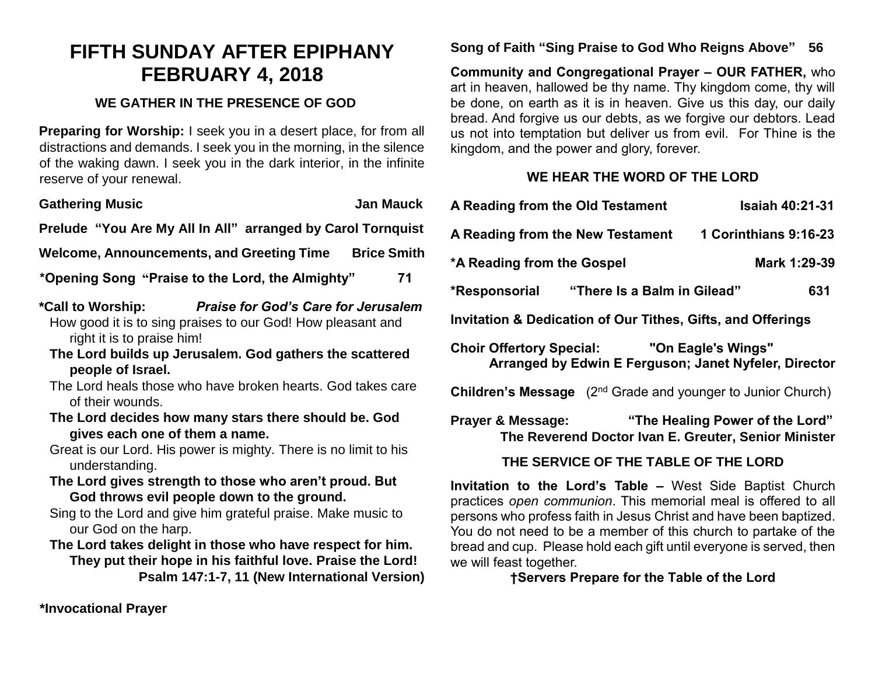# **FIFTH SUNDAY AFTER EPIPHANY FEBRUARY 4, 2018**

#### **WE GATHER IN THE PRESENCE OF GOD**

**Preparing for Worship:** I seek you in a desert place, for from all distractions and demands. I seek you in the morning, in the silence of the waking dawn. I seek you in the dark interior, in the infinite reserve of your renewal.

| <b>Gathering Music</b><br>Jan Mauck                                                                                                                          |  |  |  |
|--------------------------------------------------------------------------------------------------------------------------------------------------------------|--|--|--|
| Prelude "You Are My All In All" arranged by Carol Tornquist                                                                                                  |  |  |  |
| Welcome, Announcements, and Greeting Time Brice Smith                                                                                                        |  |  |  |
| 71<br>*Opening Song "Praise to the Lord, the Almighty"                                                                                                       |  |  |  |
| <b>Praise for God's Care for Jerusalem</b><br>*Call to Worship:<br>How good it is to sing praises to our God! How pleasant and<br>right it is to praise him! |  |  |  |
| The Lord builds up Jerusalem. God gathers the scattered<br>people of Israel.                                                                                 |  |  |  |
| The Lord heals those who have broken hearts. God takes care<br>of their wounds.                                                                              |  |  |  |
| The Lord decides how many stars there should be. God<br>gives each one of them a name.                                                                       |  |  |  |

Great is our Lord. His power is mighty. There is no limit to his understanding.

**The Lord gives strength to those who aren't proud. But God throws evil people down to the ground.**

Sing to the Lord and give him grateful praise. Make music to our God on the harp.

**The Lord takes delight in those who have respect for him. They put their hope in his faithful love. Praise the Lord! Psalm 147:1-7, 11 (New International Version)** **Song of Faith "Sing Praise to God Who Reigns Above" 56** 

**Community and Congregational Prayer – OUR FATHER,** who art in heaven, hallowed be thy name. Thy kingdom come, thy will be done, on earth as it is in heaven. Give us this day, our daily bread. And forgive us our debts, as we forgive our debtors. Lead us not into temptation but deliver us from evil. For Thine is the kingdom, and the power and glory, forever.

## **WE HEAR THE WORD OF THE LORD**

| A Reading from the Old Testament                                                                                        | <b>Isaiah 40:21-31</b> |  |  |
|-------------------------------------------------------------------------------------------------------------------------|------------------------|--|--|
| 1 Corinthians 9:16-23<br>A Reading from the New Testament                                                               |                        |  |  |
| *A Reading from the Gospel<br>Mark 1:29-39                                                                              |                        |  |  |
| *Responsorial "There Is a Balm in Gilead"                                                                               | 631                    |  |  |
| <b>Invitation &amp; Dedication of Our Tithes, Gifts, and Offerings</b>                                                  |                        |  |  |
| <b>Choir Offertory Special: "On Eagle's Wings"</b><br>Arranged by Edwin E Ferguson; Janet Nyfeler, Director             |                        |  |  |
| <b>Children's Message</b> (2 <sup>nd</sup> Grade and younger to Junior Church)                                          |                        |  |  |
| "The Healing Power of the Lord"<br><b>Prayer &amp; Message:</b><br>The Reverend Doctor Ivan E. Greuter, Senior Minister |                        |  |  |
| THE SERVICE OF THE TABLE OF THE LORD                                                                                    |                        |  |  |
| Invitation to the Lord's Table - West Side Raptist Church                                                               |                        |  |  |

**Invitation to the Lord's Table –** West Side Baptist Church practices *open communion*. This memorial meal is offered to all persons who profess faith in Jesus Christ and have been baptized. You do not need to be a member of this church to partake of the bread and cup. Please hold each gift until everyone is served, then we will feast together.

**†Servers Prepare for the Table of the Lord**

**\*Invocational Prayer**